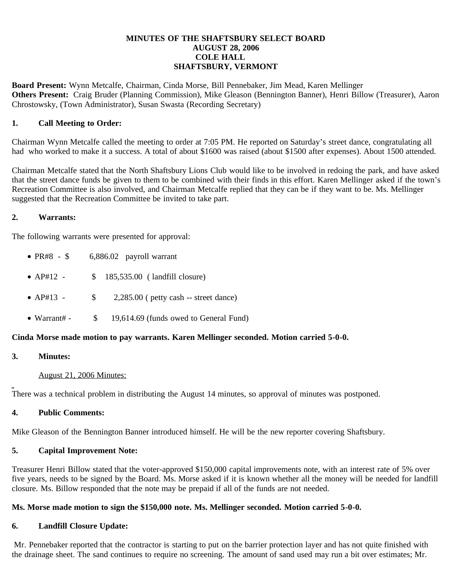## **MINUTES OF THE SHAFTSBURY SELECT BOARD AUGUST 28, 2006 COLE HALL SHAFTSBURY, VERMONT**

**Board Present:** Wynn Metcalfe, Chairman, Cinda Morse, Bill Pennebaker, Jim Mead, Karen Mellinger **Others Present:** Craig Bruder (Planning Commission), Mike Gleason (Bennington Banner), Henri Billow (Treasurer), Aaron Chrostowsky, (Town Administrator), Susan Swasta (Recording Secretary)

## **1. Call Meeting to Order:**

Chairman Wynn Metcalfe called the meeting to order at 7:05 PM. He reported on Saturday's street dance, congratulating all had who worked to make it a success. A total of about \$1600 was raised (about \$1500 after expenses). About 1500 attended.

Chairman Metcalfe stated that the North Shaftsbury Lions Club would like to be involved in redoing the park, and have asked that the street dance funds be given to them to be combined with their finds in this effort. Karen Mellinger asked if the town's Recreation Committee is also involved, and Chairman Metcalfe replied that they can be if they want to be. Ms. Mellinger suggested that the Recreation Committee be invited to take part.

## **2. Warrants:**

The following warrants were presented for approval:

- PR#8  $$$  6,886.02 payroll warrant
- AP#12 \$ 185,535.00 (landfill closure)
- $AP#13$   $$ 2,285.00$  ( petty cash -- street dance)
- Warrant# \$ 19,614.69 (funds owed to General Fund)

# **Cinda Morse made motion to pay warrants. Karen Mellinger seconded. Motion carried 5-0-0.**

### **3. Minutes:**

#### August 21, 2006 Minutes:

There was a technical problem in distributing the August 14 minutes, so approval of minutes was postponed.

#### **4. Public Comments:**

Mike Gleason of the Bennington Banner introduced himself. He will be the new reporter covering Shaftsbury.

# **5. Capital Improvement Note:**

Treasurer Henri Billow stated that the voter-approved \$150,000 capital improvements note, with an interest rate of 5% over five years, needs to be signed by the Board. Ms. Morse asked if it is known whether all the money will be needed for landfill closure. Ms. Billow responded that the note may be prepaid if all of the funds are not needed.

# **Ms. Morse made motion to sign the \$150,000 note. Ms. Mellinger seconded. Motion carried 5-0-0.**

#### **6. Landfill Closure Update:**

Mr. Pennebaker reported that the contractor is starting to put on the barrier protection layer and has not quite finished with the drainage sheet. The sand continues to require no screening. The amount of sand used may run a bit over estimates; Mr.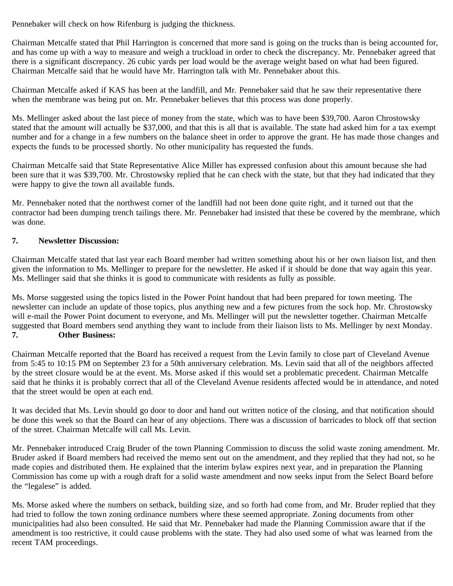Pennebaker will check on how Rifenburg is judging the thickness.

Chairman Metcalfe stated that Phil Harrington is concerned that more sand is going on the trucks than is being accounted for, and has come up with a way to measure and weigh a truckload in order to check the discrepancy. Mr. Pennebaker agreed that there is a significant discrepancy. 26 cubic yards per load would be the average weight based on what had been figured. Chairman Metcalfe said that he would have Mr. Harrington talk with Mr. Pennebaker about this.

Chairman Metcalfe asked if KAS has been at the landfill, and Mr. Pennebaker said that he saw their representative there when the membrane was being put on. Mr. Pennebaker believes that this process was done properly.

Ms. Mellinger asked about the last piece of money from the state, which was to have been \$39,700. Aaron Chrostowsky stated that the amount will actually be \$37,000, and that this is all that is available. The state had asked him for a tax exempt number and for a change in a few numbers on the balance sheet in order to approve the grant. He has made those changes and expects the funds to be processed shortly. No other municipality has requested the funds.

Chairman Metcalfe said that State Representative Alice Miller has expressed confusion about this amount because she had been sure that it was \$39,700. Mr. Chrostowsky replied that he can check with the state, but that they had indicated that they were happy to give the town all available funds.

Mr. Pennebaker noted that the northwest corner of the landfill had not been done quite right, and it turned out that the contractor had been dumping trench tailings there. Mr. Pennebaker had insisted that these be covered by the membrane, which was done.

# **7. Newsletter Discussion:**

Chairman Metcalfe stated that last year each Board member had written something about his or her own liaison list, and then given the information to Ms. Mellinger to prepare for the newsletter. He asked if it should be done that way again this year. Ms. Mellinger said that she thinks it is good to communicate with residents as fully as possible.

Ms. Morse suggested using the topics listed in the Power Point handout that had been prepared for town meeting. The newsletter can include an update of those topics, plus anything new and a few pictures from the sock hop. Mr. Chrostowsky will e-mail the Power Point document to everyone, and Ms. Mellinger will put the newsletter together. Chairman Metcalfe suggested that Board members send anything they want to include from their liaison lists to Ms. Mellinger by next Monday. **7. Other Business:**

Chairman Metcalfe reported that the Board has received a request from the Levin family to close part of Cleveland Avenue from 5:45 to 10:15 PM on September 23 for a 50th anniversary celebration. Ms. Levin said that all of the neighbors affected by the street closure would be at the event. Ms. Morse asked if this would set a problematic precedent. Chairman Metcalfe said that he thinks it is probably correct that all of the Cleveland Avenue residents affected would be in attendance, and noted that the street would be open at each end.

It was decided that Ms. Levin should go door to door and hand out written notice of the closing, and that notification should be done this week so that the Board can hear of any objections. There was a discussion of barricades to block off that section of the street. Chairman Metcalfe will call Ms. Levin.

Mr. Pennebaker introduced Craig Bruder of the town Planning Commission to discuss the solid waste zoning amendment. Mr. Bruder asked if Board members had received the memo sent out on the amendment, and they replied that they had not, so he made copies and distributed them. He explained that the interim bylaw expires next year, and in preparation the Planning Commission has come up with a rough draft for a solid waste amendment and now seeks input from the Select Board before the "legalese" is added.

Ms. Morse asked where the numbers on setback, building size, and so forth had come from, and Mr. Bruder replied that they had tried to follow the town zoning ordinance numbers where these seemed appropriate. Zoning documents from other municipalities had also been consulted. He said that Mr. Pennebaker had made the Planning Commission aware that if the amendment is too restrictive, it could cause problems with the state. They had also used some of what was learned from the recent TAM proceedings.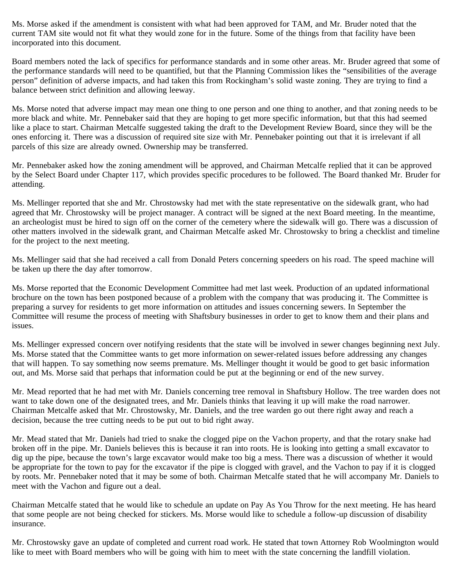Ms. Morse asked if the amendment is consistent with what had been approved for TAM, and Mr. Bruder noted that the current TAM site would not fit what they would zone for in the future. Some of the things from that facility have been incorporated into this document.

Board members noted the lack of specifics for performance standards and in some other areas. Mr. Bruder agreed that some of the performance standards will need to be quantified, but that the Planning Commission likes the "sensibilities of the average person" definition of adverse impacts, and had taken this from Rockingham's solid waste zoning. They are trying to find a balance between strict definition and allowing leeway.

Ms. Morse noted that adverse impact may mean one thing to one person and one thing to another, and that zoning needs to be more black and white. Mr. Pennebaker said that they are hoping to get more specific information, but that this had seemed like a place to start. Chairman Metcalfe suggested taking the draft to the Development Review Board, since they will be the ones enforcing it. There was a discussion of required site size with Mr. Pennebaker pointing out that it is irrelevant if all parcels of this size are already owned. Ownership may be transferred.

Mr. Pennebaker asked how the zoning amendment will be approved, and Chairman Metcalfe replied that it can be approved by the Select Board under Chapter 117, which provides specific procedures to be followed. The Board thanked Mr. Bruder for attending.

Ms. Mellinger reported that she and Mr. Chrostowsky had met with the state representative on the sidewalk grant, who had agreed that Mr. Chrostowsky will be project manager. A contract will be signed at the next Board meeting. In the meantime, an archeologist must be hired to sign off on the corner of the cemetery where the sidewalk will go. There was a discussion of other matters involved in the sidewalk grant, and Chairman Metcalfe asked Mr. Chrostowsky to bring a checklist and timeline for the project to the next meeting.

Ms. Mellinger said that she had received a call from Donald Peters concerning speeders on his road. The speed machine will be taken up there the day after tomorrow.

Ms. Morse reported that the Economic Development Committee had met last week. Production of an updated informational brochure on the town has been postponed because of a problem with the company that was producing it. The Committee is preparing a survey for residents to get more information on attitudes and issues concerning sewers. In September the Committee will resume the process of meeting with Shaftsbury businesses in order to get to know them and their plans and issues.

Ms. Mellinger expressed concern over notifying residents that the state will be involved in sewer changes beginning next July. Ms. Morse stated that the Committee wants to get more information on sewer-related issues before addressing any changes that will happen. To say something now seems premature. Ms. Mellinger thought it would be good to get basic information out, and Ms. Morse said that perhaps that information could be put at the beginning or end of the new survey.

Mr. Mead reported that he had met with Mr. Daniels concerning tree removal in Shaftsbury Hollow. The tree warden does not want to take down one of the designated trees, and Mr. Daniels thinks that leaving it up will make the road narrower. Chairman Metcalfe asked that Mr. Chrostowsky, Mr. Daniels, and the tree warden go out there right away and reach a decision, because the tree cutting needs to be put out to bid right away.

Mr. Mead stated that Mr. Daniels had tried to snake the clogged pipe on the Vachon property, and that the rotary snake had broken off in the pipe. Mr. Daniels believes this is because it ran into roots. He is looking into getting a small excavator to dig up the pipe, because the town's large excavator would make too big a mess. There was a discussion of whether it would be appropriate for the town to pay for the excavator if the pipe is clogged with gravel, and the Vachon to pay if it is clogged by roots. Mr. Pennebaker noted that it may be some of both. Chairman Metcalfe stated that he will accompany Mr. Daniels to meet with the Vachon and figure out a deal.

Chairman Metcalfe stated that he would like to schedule an update on Pay As You Throw for the next meeting. He has heard that some people are not being checked for stickers. Ms. Morse would like to schedule a follow-up discussion of disability insurance.

Mr. Chrostowsky gave an update of completed and current road work. He stated that town Attorney Rob Woolmington would like to meet with Board members who will be going with him to meet with the state concerning the landfill violation.